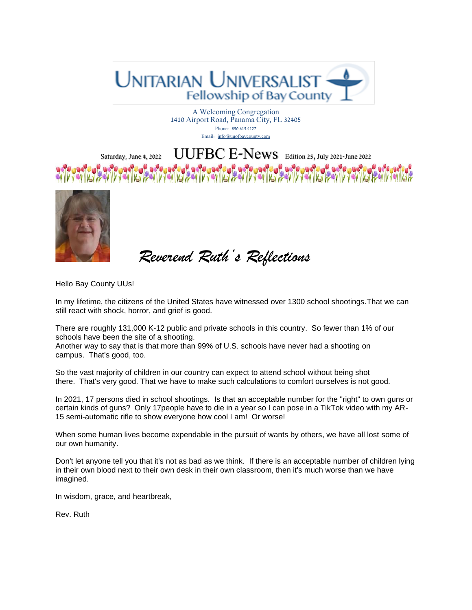

A Welcoming Congregation 1410 Airport Road, Panama City, FL 32405 Phone: 850.615.4127 Email: [info@uuofbaycounty.com](mailto:info@uuofbaycounty.com)

### Saturday, June 4, 2022 UUFBC E-News Edition 25, July 2021-June 2022 **Gelderace DE GOTO** WWW.COMPARTMENT OF THE REPORT OF THE REPORT OF THE REPORT OF THE REPORT OF THE REPORT OF THE REPORT OF THE REPORT OF THE REPORT OF THE REPORT OF THE REPORT OF THE REPORT OF THE REPORT OF THE REPORT OF THE REPORT OF THE REP



 *Reverend Ruth's Reflections*

Hello Bay County UUs!

In my lifetime, the citizens of the United States have witnessed over 1300 school shootings.That we can still react with shock, horror, and grief is good.

There are roughly 131,000 K-12 public and private schools in this country. So fewer than 1% of our schools have been the site of a shooting.

Another way to say that is that more than 99% of U.S. schools have never had a shooting on campus. That's good, too.

So the vast majority of children in our country can expect to attend school without being shot there. That's very good. That we have to make such calculations to comfort ourselves is not good.

In 2021, 17 persons died in school shootings. Is that an acceptable number for the "right" to own guns or certain kinds of guns? Only 17people have to die in a year so I can pose in a TikTok video with my AR-15 semi-automatic rifle to show everyone how cool I am! Or worse!

When some human lives become expendable in the pursuit of wants by others, we have all lost some of our own humanity.

Don't let anyone tell you that it's not as bad as we think. If there is an acceptable number of children lying in their own blood next to their own desk in their own classroom, then it's much worse than we have imagined.

In wisdom, grace, and heartbreak,

Rev. Ruth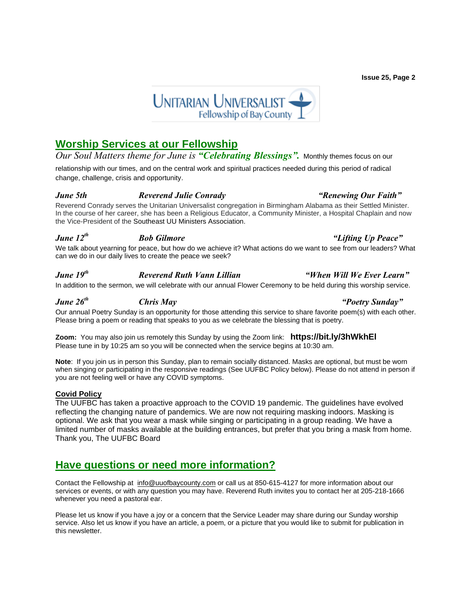## **Worship Services at our Fellowship**

### *Our Soul Matters theme for June is "Celebrating Blessings".* Monthly themes focus on our

relationship with our times, and on the central work and spiritual practices needed during this period of radical change, challenge, crisis and opportunity.

### *June 5th [Reverend Julie Conrady](https://www.uuofbaycounty.com/multimedia-archive/jan-30-i-dont-want-to-be-nice/) "[Renewing Our Faith](https://www.uuofbaycounty.com/multimedia-archive/jan-30-i-dont-want-to-be-nice/)"*

Reverend Conrady serves the Unitarian Universalist congregation in Birmingham Alabama as their Settled Minister. In the course of her career, she has been a Religious Educator, a Community Minister, a Hospital Chaplain and now the Vice-President of the Southeast UU Ministers Association.

### *June 12th Bob Gilmore "Lifting Up Peace"*

We talk about yearning for peace, but how do we achieve it? What actions do we want to see from our leaders? What can we do in our daily lives to create the peace we seek?

### *June 19 th Reverend Ruth Vann Lillian "When Will We Ever Learn"*

In addition to the sermon, we will celebrate with our annual Flower Ceremony to be held during this worship service.

## *June 26th Chris May "Poetry Sunday"*

Our annual Poetry Sunday is an opportunity for those attending this service to share favorite poem(s) with each other. Please bring a poem or reading that speaks to you as we celebrate the blessing that is poetry.

**Zoom:** You may also join us remotely this Sunday by using the Zoom link: **<https://bit.ly/3hWkhEl>** Please tune in by 10:25 am so you will be connected when the service begins at 10:30 am. 

**Note**: If you join us in person this Sunday, plan to remain socially distanced. Masks are optional, but must be worn when singing or participating in the responsive readings (See UUFBC Policy below). Please do not attend in person if you are not feeling well or have any COVID symptoms.

### **Covid Policy**

The UUFBC has taken a proactive approach to the COVID 19 pandemic. The guidelines have evolved reflecting the changing nature of pandemics. We are now not requiring masking indoors. Masking is optional. We ask that you wear a mask while singing or participating in a group reading. We have a limited number of masks available at the building entrances, but prefer that you bring a mask from home. Thank you, The UUFBC Board

## **Have questions or need more information?**

Contact the Fellowship at [info@uuofbaycounty.com](mailto:info@uuofbaycounty.com) or call us at 850-615-4127 for more information about our services or events, or with any question you may have. Reverend Ruth invites you to contact her at 205-218-1666 whenever you need a pastoral ear.

Please let us know if you have a joy or a concern that the Service Leader may share during our Sunday worship service. Also let us know if you have an article, a poem, or a picture that you would like to submit for publication in this newsletter.

**Issue 25, Page 2**

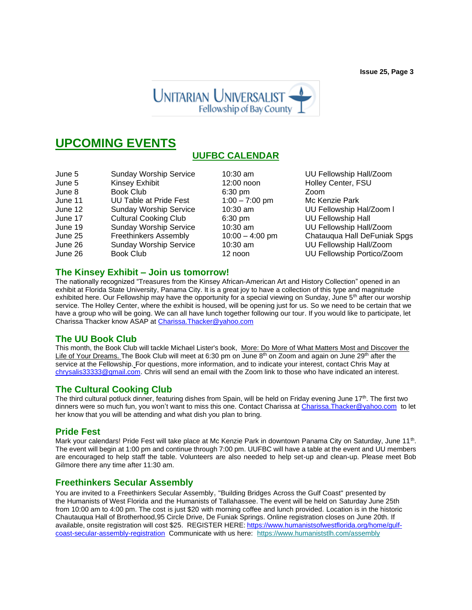**Issue 25, Page 3**



# **UPCOMING EVENTS**

## **UUFBC CALENDAR**

| June 5            | <b>Sunday Worship Service</b> | $10:30$ am        | UU F   |
|-------------------|-------------------------------|-------------------|--------|
| June 5            | Kinsey Exhibit                | 12:00 noon        | Holley |
| June 8            | <b>Book Club</b>              | $6:30$ pm         | Zoom   |
| June 11           | <b>UU Table at Pride Fest</b> | $1:00 - 7:00$ pm  | Mc Ke  |
| June 12           | <b>Sunday Worship Service</b> | $10:30$ am        | UU F   |
| June 17           | <b>Cultural Cooking Club</b>  | $6:30$ pm         | UU F   |
| June 19           | <b>Sunday Worship Service</b> | 10:30 am          | UU F   |
| June 25           | <b>Freethinkers Assembly</b>  | $10:00 - 4:00$ pm | Chata  |
| June 26           | <b>Sunday Worship Service</b> | $10:30$ am        | UU F   |
| $l1$ in $\sim$ 26 | $Book$ $C$ $(b)$              | $12 \text{ non}$  | 1111E  |

 $1:00 - 7:00 \text{ pm}$  Mc Kenzie Park

10:30 am UU Fellowship Hall/Zoom 12:00 noon Holley Center, FSU 10:30 am UU Fellowship Hal/Zoom I 6:30 pm UU Fellowship Hall 10:30 am UU Fellowship Hall/Zoom 10:00 – 4:00 pm Chatauqua Hall DeFuniak Spgs 10:30 am UU Fellowship Hall/Zoom June 26 Book Club 12 noon UU Fellowship Portico/Zoom

### **The Kinsey Exhibit – Join us tomorrow!**

The nationally recognized "Treasures from the Kinsey African-American Art and History Collection" opened in an exhibit at Florida State University, Panama City. It is a great joy to have a collection of this type and magnitude exhibited here. Our Fellowship may have the opportunity for a special viewing on Sunday, June 5<sup>th</sup> after our worship service. The Holley Center, where the exhibit is housed, will be opening just for us. So we need to be certain that we have a group who will be going. We can all have lunch together following our tour. If you would like to participate, let Charissa Thacker know ASAP at [Charissa.Thacker@yahoo.com](mailto:Charissa.Thacker@yahoo.com)

### **The UU Book Club**

This month, the Book Club will tackle Michael Lister's book, More: Do More of What Matters Most and Discover the Life of Your Dreams. The Book Club will meet at 6:30 pm on June 8<sup>th</sup> on Zoom and again on June 29<sup>th</sup> after the service at the Fellowship. For questions, more information, and to indicate your interest, contact Chris May at [chrysalis33333@gmail.com.](mailto:chrysalis33333@gmail.com) Chris will send an email with the Zoom link to those who have indicated an interest.

### **The Cultural Cooking Club**

The third cultural potluck dinner, featuring dishes from Spain, will be held on Friday evening June 17<sup>th</sup>. The first two dinners were so much fun, you won't want to miss this one. Contact Charissa at [Charissa.Thacker@yahoo.com](mailto:Charissa.Thacker@yahoo.com) to let her know that you will be attending and what dish you plan to bring.

## **Pride Fest**

Mark your calendars! Pride Fest will take place at Mc Kenzie Park in downtown Panama City on Saturday, June 11<sup>th</sup>. The event will begin at 1:00 pm and continue through 7:00 pm. UUFBC will have a table at the event and UU members are encouraged to help staff the table. Volunteers are also needed to help set-up and clean-up. Please meet Bob Gilmore there any time after 11:30 am.

### **Freethinkers Secular Assembly**

You are invited to a Freethinkers Secular Assembly**,** "Building Bridges Across the Gulf Coast" presented by the Humanists of West Florida and the Humanists of Tallahassee. The event will be held on Saturday June 25th from 10:00 am to 4:00 pm. The cost is just \$20 with morning coffee and lunch provided. Location is in the historic Chautauqua Hall of Brotherhood,95 Circle Drive, De Funiak Springs. Online registration closes on June 20th. If available, onsite registration will cost \$25.REGISTER HERE: [https://www.humanistsofwestflorida.org/home/gulf](https://www.humanistsofwestflorida.org/home/gulf-coast-secular-assembly-registration)[coast-secular-assembly-registration](https://www.humanistsofwestflorida.org/home/gulf-coast-secular-assembly-registration) Communicate with us here: [https://www.humaniststlh.com/assembly](https://humanistsofwestflorida.us16.list-manage.com/track/click?u=085cbe236a689b213dd68f7e9&id=ae81f5aa85&e=626b04b88e)